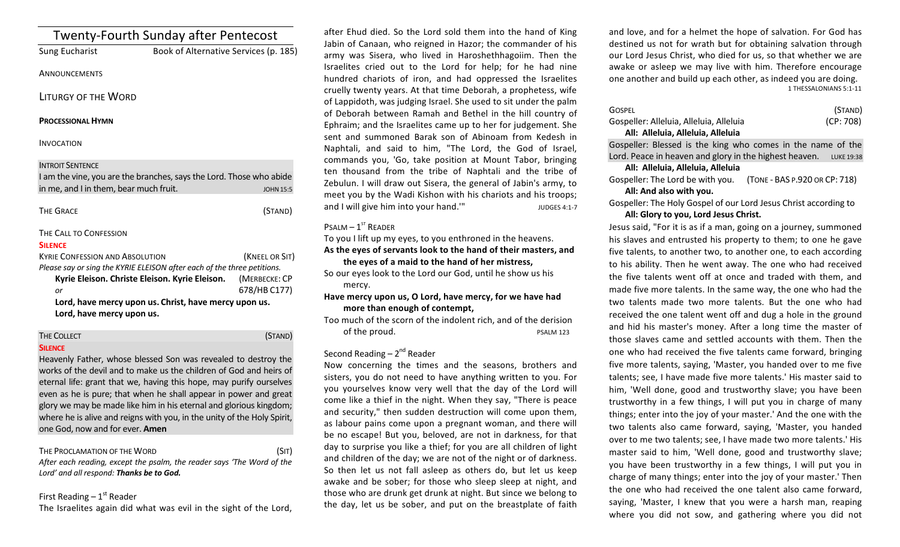| <b>Twenty-Fourth Sunday after Pentecost</b>           |                                                                         |  |
|-------------------------------------------------------|-------------------------------------------------------------------------|--|
| Sung Eucharist                                        | Book of Alternative Services (p. 185)                                   |  |
| ANNOUNCEMENTS                                         |                                                                         |  |
| <b>LITURGY OF THE WORD</b>                            |                                                                         |  |
| <b>PROCESSIONAL HYMN</b>                              |                                                                         |  |
| <b>INVOCATION</b>                                     |                                                                         |  |
| <b>INTROIT SENTENCE</b>                               |                                                                         |  |
|                                                       | I am the vine, you are the branches, says the Lord. Those who abide     |  |
| in me, and I in them, bear much fruit.                | <b>JOHN 15:5</b>                                                        |  |
| <b>THE GRACE</b>                                      | (STAND)                                                                 |  |
| THE CALL TO CONFESSION                                |                                                                         |  |
| <b>SILENCE</b>                                        |                                                                         |  |
| <b>KYRIE CONFESSION AND ABSOLUTION</b>                | (KNEEL OR SIT)                                                          |  |
|                                                       | Please say or sing the KYRIE ELEISON after each of the three petitions. |  |
| Kyrie Eleison. Christe Eleison. Kyrie Eleison.        | (MERBECKE: CP                                                           |  |
| or                                                    | 678/HB C177)                                                            |  |
| Lord, have mercy upon us. Christ, have mercy upon us. |                                                                         |  |
| Lord, have mercy upon us.                             |                                                                         |  |
|                                                       |                                                                         |  |

## THE COLLECT **THE COLLECT COLLECT COLLECT COLLECT COLLECT COLLECT COLLECT COLLECT COLLECT**

#### **SILENCE**

Heavenly Father, whose blessed Son was revealed to destroy the works of the devil and to make us the children of God and heirs of eternal life: grant that we, having this hope, may purify ourselves even as he is pure; that when he shall appear in power and great glory we may be made like him in his eternal and glorious kingdom; where he is alive and reigns with you, in the unity of the Holy Spirit, one God, now and for ever. **Amen** 

### THE PROCLAMATION OF THE WORD (SIT)

After each reading, except the psalm, the reader says 'The Word of the Lord' and all respond: **Thanks be to God.** 

# First Reading  $-1<sup>st</sup>$  Reader

The Israelites again did what was evil in the sight of the Lord,

after Ehud died. So the Lord sold them into the hand of King Jabin of Canaan, who reigned in Hazor; the commander of his army was Sisera, who lived in Haroshethhagoiim. Then the Israelites cried out to the Lord for help; for he had nine hundred chariots of iron, and had oppressed the Israelites cruelly twenty years. At that time Deborah, a prophetess, wife of Lappidoth, was judging Israel. She used to sit under the palm of Deborah between Ramah and Bethel in the hill country of Ephraim; and the Israelites came up to her for judgement. She sent and summoned Barak son of Abinoam from Kedesh in Naphtali, and said to him, "The Lord, the God of Israel, commands you, 'Go, take position at Mount Tabor, bringing ten thousand from the tribe of Naphtali and the tribe of Zebulun. I will draw out Sisera, the general of Jabin's army, to meet you by the Wadi Kishon with his chariots and his troops; and I will give him into your hand."" JUDGES 4:1-7

# $P$ SALM –  $1<sup>ST</sup>$  READER

To you I lift up my eyes, to you enthroned in the heavens. As the eyes of servants look to the hand of their masters, and

the eyes of a maid to the hand of her mistress,

So our eyes look to the Lord our God, until he show us his mercy. 

Have mercy upon us, O Lord, have mercy, for we have had more than enough of contempt,

Too much of the scorn of the indolent rich, and of the derision of the proud. The state of the proud.

## Second Reading  $- 2<sup>nd</sup>$  Reader

Now concerning the times and the seasons, brothers and sisters, you do not need to have anything written to you. For you yourselves know very well that the day of the Lord will come like a thief in the night. When they say, "There is peace and security," then sudden destruction will come upon them, as labour pains come upon a pregnant woman, and there will be no escape! But you, beloved, are not in darkness, for that day to surprise you like a thief; for you are all children of light and children of the day; we are not of the night or of darkness. So then let us not fall asleep as others do, but let us keep awake and be sober; for those who sleep sleep at night, and those who are drunk get drunk at night. But since we belong to the day, let us be sober, and put on the breastplate of faith

and love, and for a helmet the hope of salvation. For God has destined us not for wrath but for obtaining salvation through our Lord Jesus Christ, who died for us, so that whether we are awake or asleep we may live with him. Therefore encourage one another and build up each other, as indeed you are doing. 1 THESSALONIANS 5:1-11

| GOSPEL                                  | (STAND)   |
|-----------------------------------------|-----------|
| Gospeller: Alleluia, Alleluia, Alleluia | (CP: 708) |
| All: Alleluia, Alleluia, Alleluia       |           |

Gospeller: Blessed is the king who comes in the name of the Lord. Peace in heaven and glory in the highest heaven. LUKE 19:38

## **All: Alleluia, Alleluia, Alleluia**

Gospeller: The Lord be with you. (TONE - BAS P.920 OR CP: 718) All: And also with you.

Gospeller: The Holy Gospel of our Lord Jesus Christ according to

# All: Glory to you, Lord Jesus Christ.

Jesus said, "For it is as if a man, going on a journey, summoned his slaves and entrusted his property to them; to one he gave five talents, to another two, to another one, to each according to his ability. Then he went away. The one who had received the five talents went off at once and traded with them, and made five more talents. In the same way, the one who had the two talents made two more talents. But the one who had received the one talent went off and dug a hole in the ground and hid his master's money. After a long time the master of those slaves came and settled accounts with them. Then the one who had received the five talents came forward, bringing five more talents, saying, 'Master, you handed over to me five talents; see, I have made five more talents.' His master said to him, 'Well done, good and trustworthy slave; you have been trustworthy in a few things, I will put you in charge of many things; enter into the joy of your master.' And the one with the two talents also came forward, saying, 'Master, you handed over to me two talents; see, I have made two more talents.' His master said to him, 'Well done, good and trustworthy slave; you have been trustworthy in a few things, I will put you in charge of many things; enter into the joy of your master.' Then the one who had received the one talent also came forward, saying, 'Master, I knew that you were a harsh man, reaping where you did not sow, and gathering where you did not